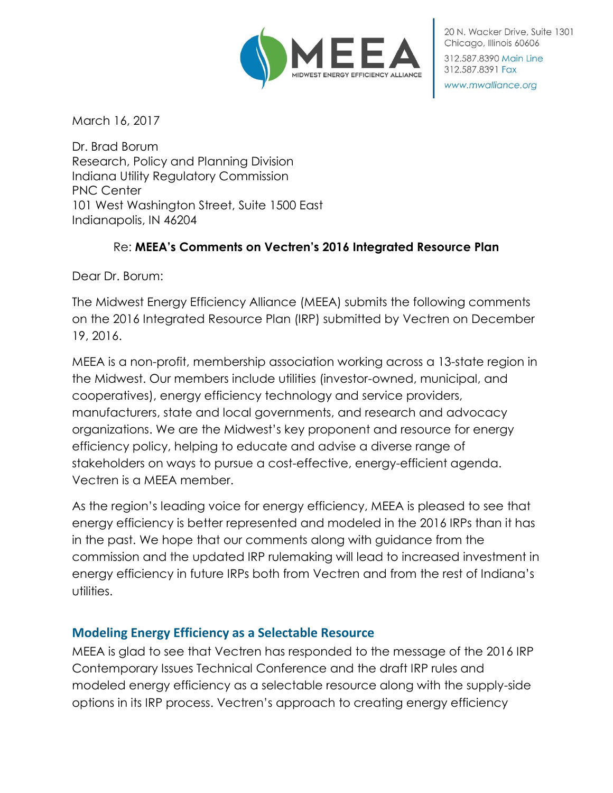

20 N. Wacker Drive, Suite 1301 Chicago, Illinois 60606 312,587,8390 Main Line

www.mwalliance.org

312.587.8391 Fax

March 16, 2017

Dr. Brad Borum Research, Policy and Planning Division Indiana Utility Regulatory Commission PNC Center 101 West Washington Street, Suite 1500 East Indianapolis, IN 46204

## Re: **MEEA's Comments on Vectren's 2016 Integrated Resource Plan**

Dear Dr. Borum:

The Midwest Energy Efficiency Alliance (MEEA) submits the following comments on the 2016 Integrated Resource Plan (IRP) submitted by Vectren on December 19, 2016.

MEEA is a non-profit, membership association working across a 13-state region in the Midwest. Our members include utilities (investor-owned, municipal, and cooperatives), energy efficiency technology and service providers, manufacturers, state and local governments, and research and advocacy organizations. We are the Midwest's key proponent and resource for energy efficiency policy, helping to educate and advise a diverse range of stakeholders on ways to pursue a cost-effective, energy-efficient agenda. Vectren is a MEEA member.

As the region's leading voice for energy efficiency, MEEA is pleased to see that energy efficiency is better represented and modeled in the 2016 IRPs than it has in the past. We hope that our comments along with guidance from the commission and the updated IRP rulemaking will lead to increased investment in energy efficiency in future IRPs both from Vectren and from the rest of Indiana's utilities.

### **Modeling Energy Efficiency as a Selectable Resource**

MEEA is glad to see that Vectren has responded to the message of the 2016 IRP Contemporary Issues Technical Conference and the draft IRP rules and modeled energy efficiency as a selectable resource along with the supply-side options in its IRP process. Vectren's approach to creating energy efficiency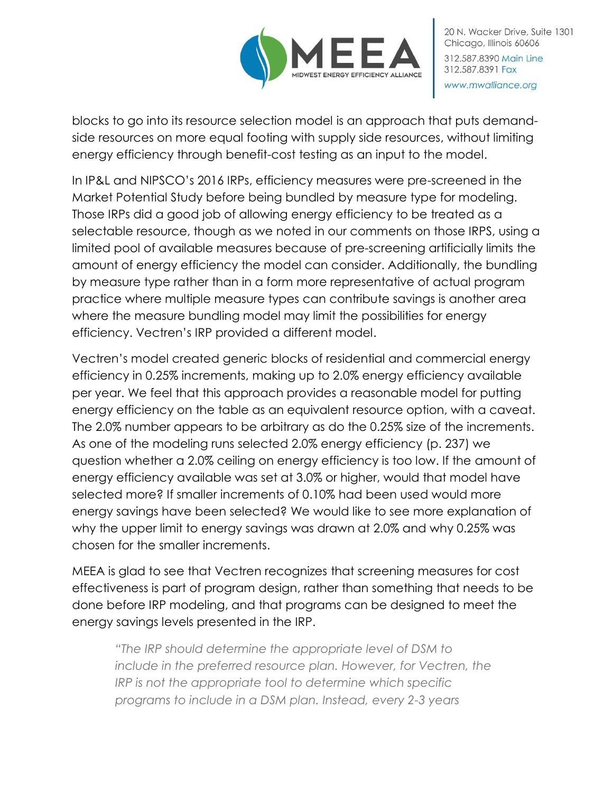

blocks to go into its resource selection model is an approach that puts demandside resources on more equal footing with supply side resources, without limiting energy efficiency through benefit-cost testing as an input to the model.

In IP&L and NIPSCO's 2016 IRPs, efficiency measures were pre-screened in the Market Potential Study before being bundled by measure type for modeling. Those IRPs did a good job of allowing energy efficiency to be treated as a selectable resource, though as we noted in our comments on those IRPS, using a limited pool of available measures because of pre-screening artificially limits the amount of energy efficiency the model can consider. Additionally, the bundling by measure type rather than in a form more representative of actual program practice where multiple measure types can contribute savings is another area where the measure bundling model may limit the possibilities for energy efficiency. Vectren's IRP provided a different model.

Vectren's model created generic blocks of residential and commercial energy efficiency in 0.25% increments, making up to 2.0% energy efficiency available per year. We feel that this approach provides a reasonable model for putting energy efficiency on the table as an equivalent resource option, with a caveat. The 2.0% number appears to be arbitrary as do the 0.25% size of the increments. As one of the modeling runs selected 2.0% energy efficiency (p. 237) we question whether a 2.0% ceiling on energy efficiency is too low. If the amount of energy efficiency available was set at 3.0% or higher, would that model have selected more? If smaller increments of 0.10% had been used would more energy savings have been selected? We would like to see more explanation of why the upper limit to energy savings was drawn at 2.0% and why 0.25% was chosen for the smaller increments.

MEEA is glad to see that Vectren recognizes that screening measures for cost effectiveness is part of program design, rather than something that needs to be done before IRP modeling, and that programs can be designed to meet the energy savings levels presented in the IRP.

*"The IRP should determine the appropriate level of DSM to include in the preferred resource plan. However, for Vectren, the IRP is not the appropriate tool to determine which specific programs to include in a DSM plan. Instead, every 2-3 years*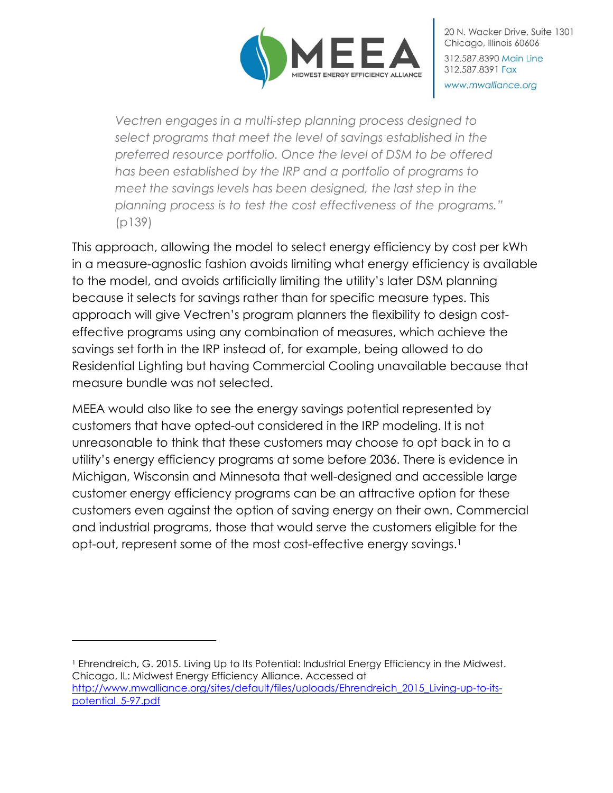

*Vectren engages in a multi-step planning process designed to select programs that meet the level of savings established in the preferred resource portfolio. Once the level of DSM to be offered has been established by the IRP and a portfolio of programs to meet the savings levels has been designed, the last step in the planning process is to test the cost effectiveness of the programs."*  (p139)

This approach, allowing the model to select energy efficiency by cost per kWh in a measure-agnostic fashion avoids limiting what energy efficiency is available to the model, and avoids artificially limiting the utility's later DSM planning because it selects for savings rather than for specific measure types. This approach will give Vectren's program planners the flexibility to design costeffective programs using any combination of measures, which achieve the savings set forth in the IRP instead of, for example, being allowed to do Residential Lighting but having Commercial Cooling unavailable because that measure bundle was not selected.

MEEA would also like to see the energy savings potential represented by customers that have opted-out considered in the IRP modeling. It is not unreasonable to think that these customers may choose to opt back in to a utility's energy efficiency programs at some before 2036. There is evidence in Michigan, Wisconsin and Minnesota that well-designed and accessible large customer energy efficiency programs can be an attractive option for these customers even against the option of saving energy on their own. Commercial and industrial programs, those that would serve the customers eligible for the opt-out, represent some of the most cost-effective energy savings.<sup>1</sup>

<sup>1</sup> Ehrendreich, G. 2015. Living Up to Its Potential: Industrial Energy Efficiency in the Midwest. Chicago, IL: Midwest Energy Efficiency Alliance. Accessed at [http://www.mwalliance.org/sites/default/files/uploads/Ehrendreich\\_2015\\_Living-up-to-its](http://www.mwalliance.org/sites/default/files/uploads/Ehrendreich_2015_Living-up-to-its-potential_5-97.pdf)[potential\\_5-97.pdf](http://www.mwalliance.org/sites/default/files/uploads/Ehrendreich_2015_Living-up-to-its-potential_5-97.pdf)

 $\overline{a}$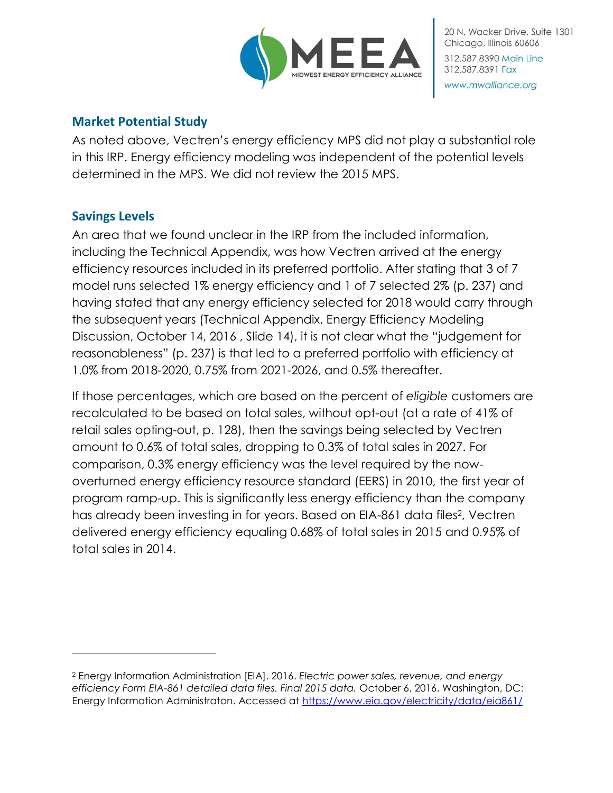

## **Market Potential Study**

As noted above, Vectren's energy efficiency MPS did not play a substantial role in this IRP. Energy efficiency modeling was independent of the potential levels determined in the MPS. We did not review the 2015 MPS.

# **Savings Levels**

l

An area that we found unclear in the IRP from the included information, including the Technical Appendix, was how Vectren arrived at the energy efficiency resources included in its preferred portfolio. After stating that 3 of 7 model runs selected 1% energy efficiency and 1 of 7 selected 2% (p. 237) and having stated that any energy efficiency selected for 2018 would carry through the subsequent years (Technical Appendix, Energy Efficiency Modeling Discussion, October 14, 2016 , Slide 14), it is not clear what the "judgement for reasonableness" (p. 237) is that led to a preferred portfolio with efficiency at 1.0% from 2018-2020, 0.75% from 2021-2026, and 0.5% thereafter.

If those percentages, which are based on the percent of *eligible* customers are recalculated to be based on total sales, without opt-out (at a rate of 41% of retail sales opting-out, p. 128), then the savings being selected by Vectren amount to 0.6% of total sales, dropping to 0.3% of total sales in 2027. For comparison, 0.3% energy efficiency was the level required by the nowoverturned energy efficiency resource standard (EERS) in 2010, the first year of program ramp-up. This is significantly less energy efficiency than the company has already been investing in for years. Based on EIA-861 data files<sup>2</sup>, Vectren delivered energy efficiency equaling 0.68% of total sales in 2015 and 0.95% of total sales in 2014.

<sup>2</sup> Energy Information Administration [EIA]. 2016. *Electric power sales, revenue, and energy efficiency Form EIA-861 detailed data files. Final 2015 data.* October 6, 2016. Washington, DC: Energy Information Administraton. Accessed at<https://www.eia.gov/electricity/data/eia861/>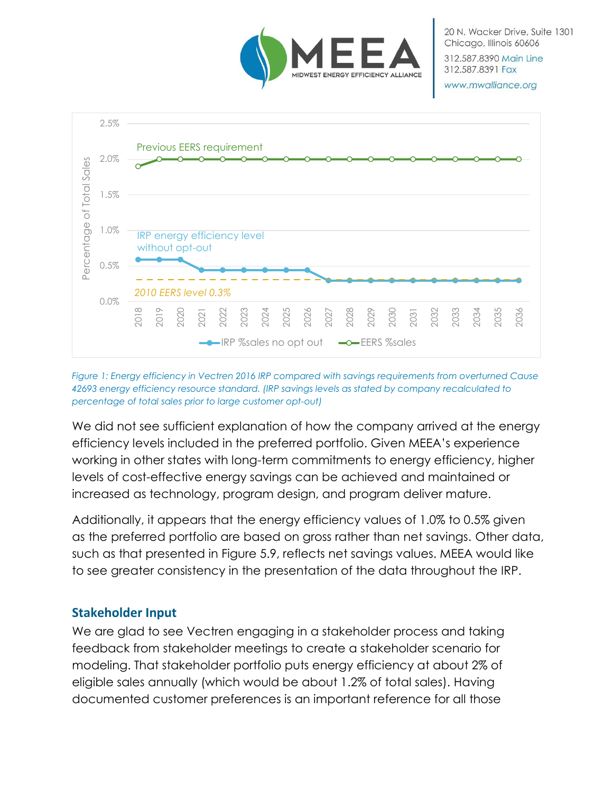

20 N. Wacker Drive, Suite 1301 Chicago, Illinois 60606 312.587.8390 Main Line

www.mwalliance.org

312.587.8391 Fax



*Figure 1: Energy efficiency in Vectren 2016 IRP compared with savings requirements from overturned Cause 42693 energy efficiency resource standard. (IRP savings levels as stated by company recalculated to percentage of total sales prior to large customer opt-out)*

We did not see sufficient explanation of how the company arrived at the energy efficiency levels included in the preferred portfolio. Given MEEA's experience working in other states with long-term commitments to energy efficiency, higher levels of cost-effective energy savings can be achieved and maintained or increased as technology, program design, and program deliver mature.

Additionally, it appears that the energy efficiency values of 1.0% to 0.5% given as the preferred portfolio are based on gross rather than net savings. Other data, such as that presented in Figure 5.9, reflects net savings values. MEEA would like to see greater consistency in the presentation of the data throughout the IRP.

# **Stakeholder Input**

We are glad to see Vectren engaging in a stakeholder process and taking feedback from stakeholder meetings to create a stakeholder scenario for modeling. That stakeholder portfolio puts energy efficiency at about 2% of eligible sales annually (which would be about 1.2% of total sales). Having documented customer preferences is an important reference for all those